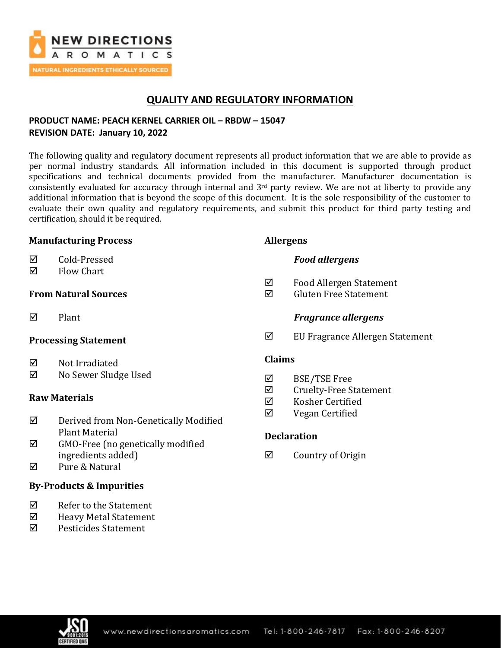

## **QUALITY AND REGULATORY INFORMATION**

## **PRODUCT NAME: PEACH KERNEL CARRIER OIL – RBDW – 15047 REVISION DATE: January 10, 2022**

The following quality and regulatory document represents all product information that we are able to provide as per normal industry standards. All information included in this document is supported through product specifications and technical documents provided from the manufacturer. Manufacturer documentation is consistently evaluated for accuracy through internal and  $3<sup>rd</sup>$  party review. We are not at liberty to provide any additional information that is beyond the scope of this document. It is the sole responsibility of the customer to evaluate their own quality and regulatory requirements, and submit this product for third party testing and certification, should it be required.

### **Manufacturing Process**

- **☑** Cold-Pressed
- $\nabla$  Flow Chart

## **From Natural Sources**

 $\nabla$  Plant

### **Processing Statement**

- $\boxtimes$  Not Irradiated
- No Sewer Sludge Used

### **Raw Materials**

- Derived from Non-Genetically Modified Plant Material
- $\boxtimes$  GMO-Free (no genetically modified ingredients added)
- Pure & Natural

## **By-Products & Impurities**

- $\boxtimes$  Refer to the Statement
- $\boxtimes$  Heavy Metal Statement
- Pesticides Statement

## **Allergens**

- *Food allergens*
- $\boxtimes$  Food Allergen Statement
- $\boxtimes$  Gluten Free Statement

## *Fragrance allergens*

EU Fragrance Allergen Statement

### **Claims**

- BSE/TSE Free
- $\boxtimes$  Cruelty-Free Statement
- Kosher Certified
- $\boxtimes$  Vegan Certified

## **Declaration**

 $\boxtimes$  Country of Origin

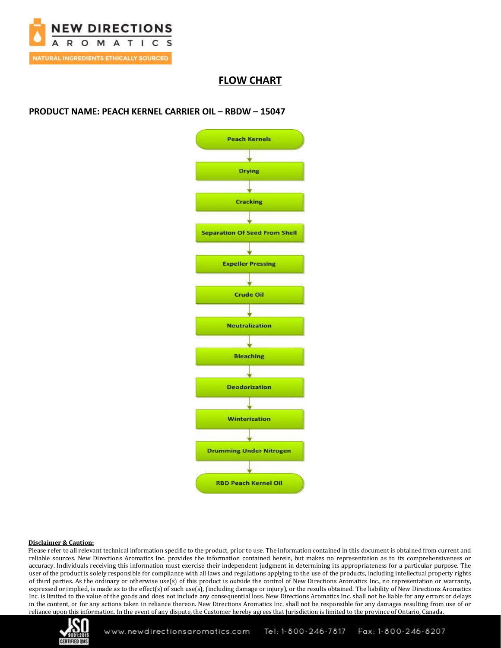

## **FLOW CHART**

### **PRODUCT NAME: PEACH KERNEL CARRIER OIL – RBDW – 15047**



#### **Disclaimer & Caution:**

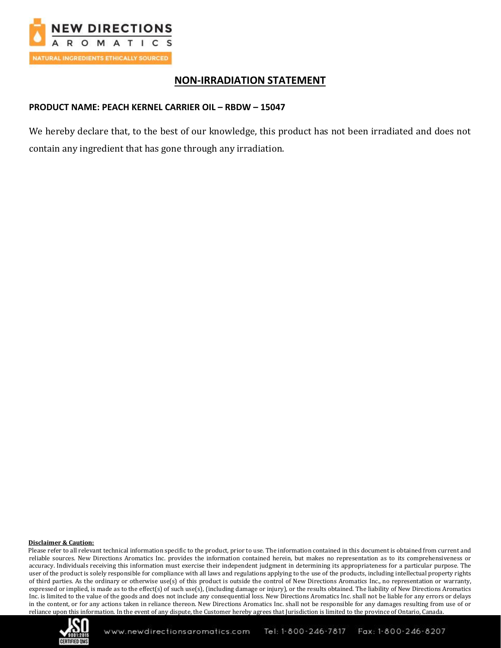

## **NON-IRRADIATION STATEMENT**

### **PRODUCT NAME: PEACH KERNEL CARRIER OIL – RBDW – 15047**

We hereby declare that, to the best of our knowledge, this product has not been irradiated and does not contain any ingredient that has gone through any irradiation.

#### **Disclaimer & Caution:**

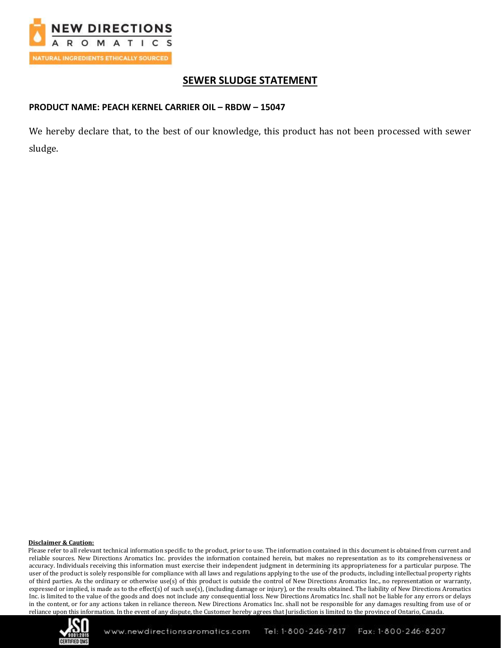

# **SEWER SLUDGE STATEMENT**

## **PRODUCT NAME: PEACH KERNEL CARRIER OIL – RBDW – 15047**

We hereby declare that, to the best of our knowledge, this product has not been processed with sewer sludge.

#### **Disclaimer & Caution:**

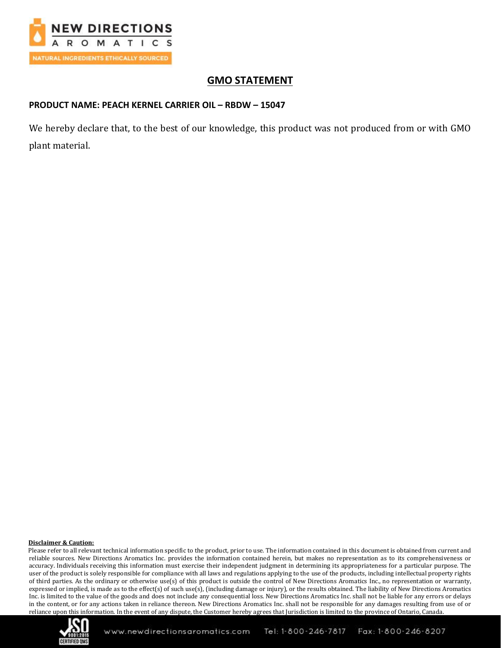

# **GMO STATEMENT**

### **PRODUCT NAME: PEACH KERNEL CARRIER OIL – RBDW – 15047**

We hereby declare that, to the best of our knowledge, this product was not produced from or with GMO plant material.

#### **Disclaimer & Caution:**

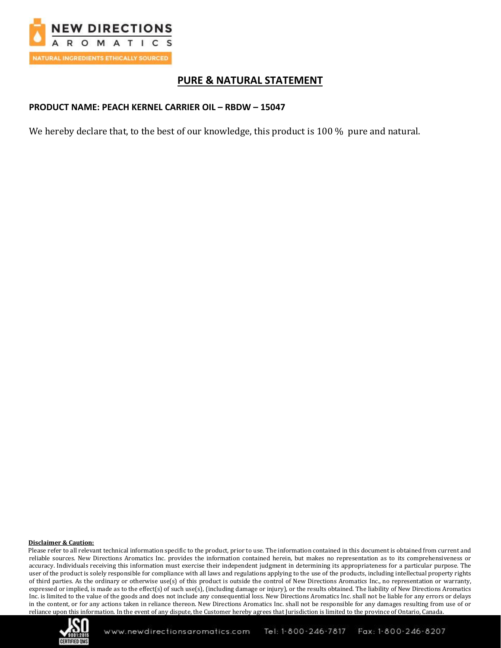

## **PURE & NATURAL STATEMENT**

### **PRODUCT NAME: PEACH KERNEL CARRIER OIL – RBDW – 15047**

We hereby declare that, to the best of our knowledge, this product is 100 % pure and natural.

#### **Disclaimer & Caution:**

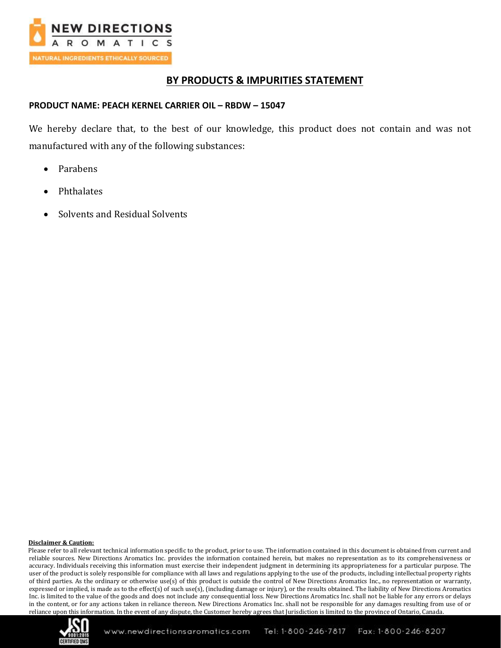

## **BY PRODUCTS & IMPURITIES STATEMENT**

### **PRODUCT NAME: PEACH KERNEL CARRIER OIL – RBDW – 15047**

We hereby declare that, to the best of our knowledge, this product does not contain and was not manufactured with any of the following substances:

- Parabens
- Phthalates
- Solvents and Residual Solvents

#### **Disclaimer & Caution:**

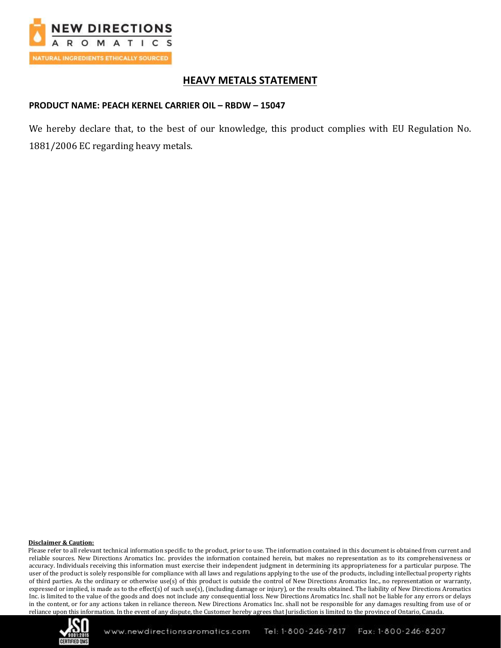

# **HEAVY METALS STATEMENT**

### **PRODUCT NAME: PEACH KERNEL CARRIER OIL – RBDW – 15047**

We hereby declare that, to the best of our knowledge, this product complies with EU Regulation No. 1881/2006 EC regarding heavy metals.

#### **Disclaimer & Caution:**

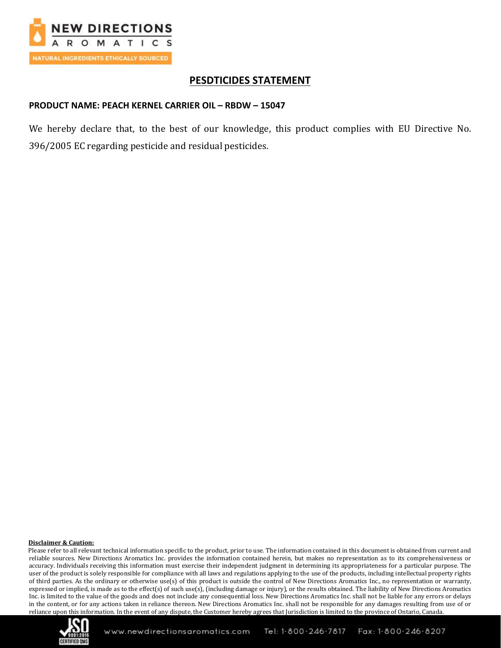

## **PESDTICIDES STATEMENT**

#### **PRODUCT NAME: PEACH KERNEL CARRIER OIL – RBDW – 15047**

We hereby declare that, to the best of our knowledge, this product complies with EU Directive No. 396/2005 EC regarding pesticide and residual pesticides.

#### **Disclaimer & Caution:**

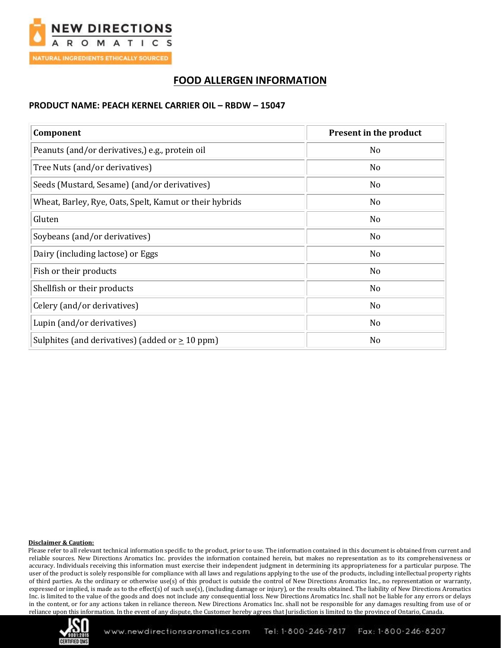

# **FOOD ALLERGEN INFORMATION**

### **PRODUCT NAME: PEACH KERNEL CARRIER OIL – RBDW – 15047**

| Component                                               | Present in the product |
|---------------------------------------------------------|------------------------|
| Peanuts (and/or derivatives,) e.g., protein oil         | No                     |
| Tree Nuts (and/or derivatives)                          | N <sub>0</sub>         |
| Seeds (Mustard, Sesame) (and/or derivatives)            | N <sub>0</sub>         |
| Wheat, Barley, Rye, Oats, Spelt, Kamut or their hybrids | No                     |
| Gluten                                                  | N <sub>0</sub>         |
| Soybeans (and/or derivatives)                           | No                     |
| Dairy (including lactose) or Eggs                       | No                     |
| Fish or their products                                  | N <sub>o</sub>         |
| Shellfish or their products                             | No                     |
| Celery (and/or derivatives)                             | No                     |
| Lupin (and/or derivatives)                              | No                     |
| Sulphites (and derivatives) (added or $\geq 10$ ppm)    | No                     |

#### **Disclaimer & Caution:**

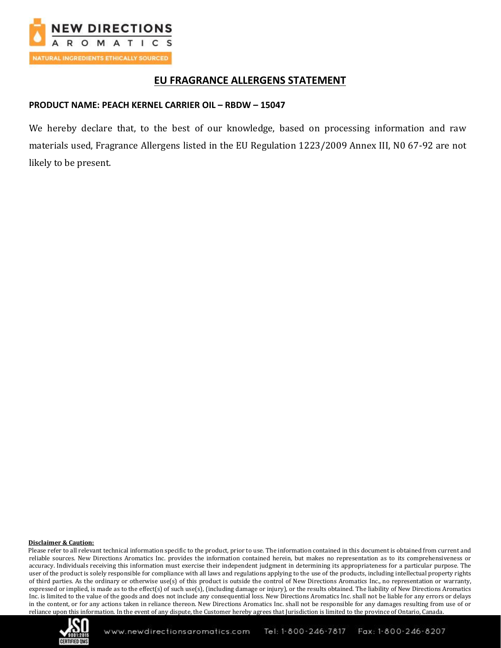

## **EU FRAGRANCE ALLERGENS STATEMENT**

### **PRODUCT NAME: PEACH KERNEL CARRIER OIL – RBDW – 15047**

We hereby declare that, to the best of our knowledge, based on processing information and raw materials used, Fragrance Allergens listed in the EU Regulation 1223/2009 Annex III, N0 67-92 are not likely to be present.

#### **Disclaimer & Caution:**

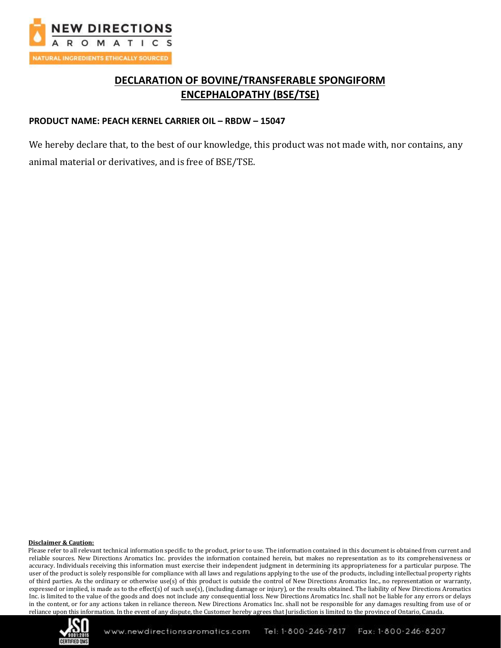

# **DECLARATION OF BOVINE/TRANSFERABLE SPONGIFORM ENCEPHALOPATHY (BSE/TSE)**

### **PRODUCT NAME: PEACH KERNEL CARRIER OIL – RBDW – 15047**

We hereby declare that, to the best of our knowledge, this product was not made with, nor contains, any animal material or derivatives, and is free of BSE/TSE.

#### **Disclaimer & Caution:**

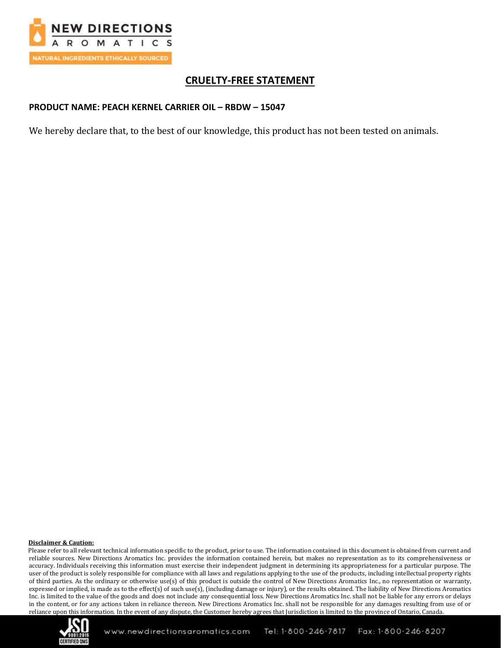

# **CRUELTY-FREE STATEMENT**

## **PRODUCT NAME: PEACH KERNEL CARRIER OIL – RBDW – 15047**

We hereby declare that, to the best of our knowledge, this product has not been tested on animals.

#### **Disclaimer & Caution:**

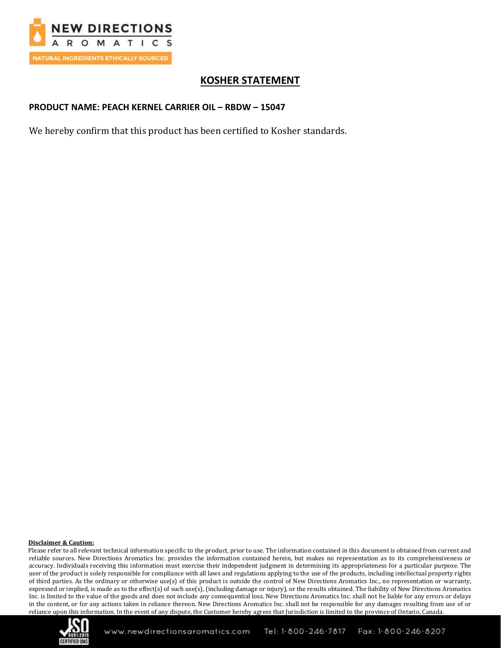

# **KOSHER STATEMENT**

## **PRODUCT NAME: PEACH KERNEL CARRIER OIL – RBDW – 15047**

We hereby confirm that this product has been certified to Kosher standards.

#### **Disclaimer & Caution:**

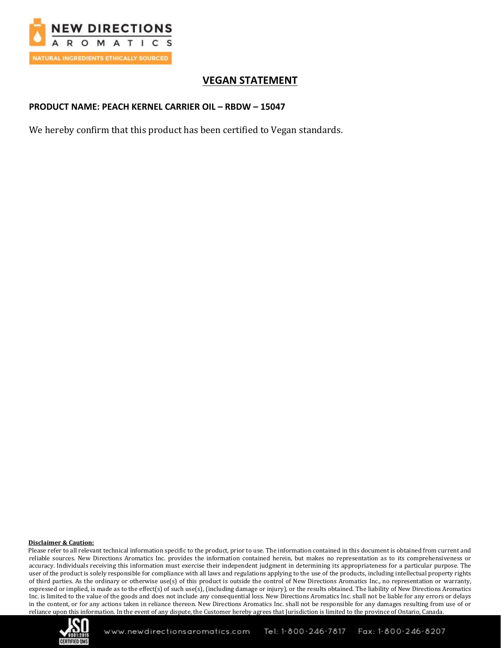

# **VEGAN STATEMENT**

### **PRODUCT NAME: PEACH KERNEL CARRIER OIL – RBDW – 15047**

We hereby confirm that this product has been certified to Vegan standards.

#### **Disclaimer & Caution:**